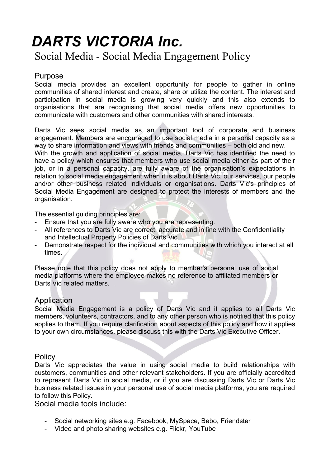# *DARTS VICTORIA Inc.*

# Social Media - Social Media Engagement Policy

# Purpose

Social media provides an excellent opportunity for people to gather in online communities of shared interest and create, share or utilize the content. The interest and participation in social media is growing very quickly and this also extends to organisations that are recognising that social media offers new opportunities to communicate with customers and other communities with shared interests.

Darts Vic sees social media as an important tool of corporate and business engagement. Members are encouraged to use social media in a personal capacity as a way to share information and views with friends and communities – both old and new. With the growth and application of social media, Darts Vic has identified the need to have a policy which ensures that members who use social media either as part of their job, or in a personal capacity, are fully aware of the organisation's expectations in relation to social media engagement when it is about Darts Vic, our services, our people and/or other business related individuals or organisations. Darts Vic's principles of Social Media Engagement are designed to protect the interests of members and the organisation.

The essential guiding principles are:

- Ensure that you are fully aware who you are representing.
- All references to Darts Vic are correct, accurate and in line with the Confidentiality and Intellectual Property Policies of Darts Vic.
- Demonstrate respect for the individual and communities with which you interact at all times.

Please note that this policy does not apply to member's personal use of social media platforms where the employee makes no reference to affiliated members or Darts Vic related matters.

# Application

Social Media Engagement is a policy of Darts Vic and it applies to all Darts Vic members, volunteers, contractors, and to any other person who is notified that this policy applies to them*.* If you require clarification about aspects of this policy and how it applies to your own circumstances, please discuss this with the Darts Vic Executive Officer.

# **Policy**

Darts Vic appreciates the value in using social media to build relationships with customers, communities and other relevant stakeholders. If you are officially accredited to represent Darts Vic in social media, or if you are discussing Darts Vic or Darts Vic business related issues in your personal use of social media platforms, you are required to follow this Policy.

Social media tools include:

- Social networking sites e.g. Facebook, MySpace, Bebo, Friendster
- Video and photo sharing websites e.g. Flickr, YouTube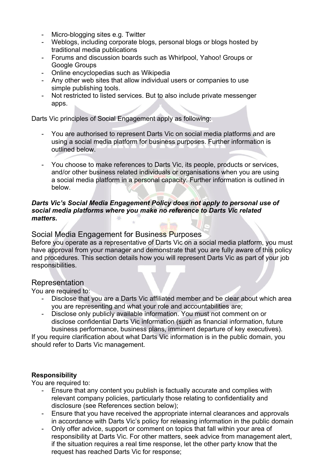- Micro-blogging sites e.g. Twitter
- Weblogs, including corporate blogs, personal blogs or blogs hosted by traditional media publications
- Forums and discussion boards such as Whirlpool, Yahoo! Groups or Google Groups
- Online encyclopedias such as Wikipedia
- Any other web sites that allow individual users or companies to use simple publishing tools.
- Not restricted to listed services. But to also include private messenger apps.

Darts Vic principles of Social Engagement apply as following:

- You are authorised to represent Darts Vic on social media platforms and are using a social media platform for business purposes. Further information is outlined below.
- You choose to make references to Darts Vic, its people, products or services, and/or other business related individuals or organisations when you are using a social media platform in a personal capacity. Further information is outlined in below.

#### *Darts Vic's Social Media Engagement Policy does not apply to personal use of social media platforms where you make no reference to Darts Vic related matters.*

# Social Media Engagement for Business Purposes

Before you operate as a representative of Darts Vic on a social media platform, you must have approval from your manager and demonstrate that you are fully aware of this policy and procedures. This section details how you will represent Darts Vic as part of your job responsibilities.

#### Representation

You are required to:

- Disclose that you are a Darts Vic affiliated member and be clear about which area you are representing and what your role and accountabilities are;
- Disclose only publicly available information. You must not comment on or disclose confidential Darts Vic information (such as financial information, future business performance, business plans, imminent departure of key executives).

If you require clarification about what Darts Vic information is in the public domain, you should refer to Darts Vic management.

#### **Responsibility**

You are required to:

- Ensure that any content you publish is factually accurate and complies with relevant company policies, particularly those relating to confidentiality and disclosure (see References section below);
- Ensure that you have received the appropriate internal clearances and approvals in accordance with Darts Vic's policy for releasing information in the public domain
- Only offer advice, support or comment on topics that fall within your area of responsibility at Darts Vic. For other matters, seek advice from management alert, if the situation requires a real time response, let the other party know that the request has reached Darts Vic for response;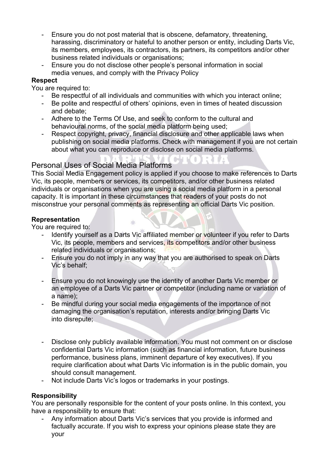- Ensure you do not post material that is obscene, defamatory, threatening, harassing, discriminatory or hateful to another person or entity, including Darts Vic, its members, employees, its contractors, its partners, its competitors and/or other business related individuals or organisations;
- Ensure you do not disclose other people's personal information in social media venues, and comply with the Privacy Policy

#### **Respect**

You are required to:

- Be respectful of all individuals and communities with which you interact online;
- Be polite and respectful of others' opinions, even in times of heated discussion and debate;
- Adhere to the Terms Of Use, and seek to conform to the cultural and behavioural norms, of the social media platform being used;
- Respect copyright, privacy, financial disclosure and other applicable laws when publishing on social media platforms. Check with management if you are not certain about what you can reproduce or disclose on social media platforms.

# Personal Uses of Social Media Platforms

This Social Media Engagement policy is applied if you choose to make references to Darts Vic, its people, members or services, its competitors, and/or other business related individuals or organisations when you are using a social media platform in a personal capacity. It is important in these circumstances that readers of your posts do not misconstrue your personal comments as representing an official Darts Vic position.

#### **Representation**

You are required to:

- Identify yourself as a Darts Vic affiliated member or volunteer if you refer to Darts Vic, its people, members and services, its competitors and/or other business related individuals or organisations;
- Ensure you do not imply in any way that you are authorised to speak on Darts Vic's behalf;
- Ensure you do not knowingly use the identity of another Darts Vic member or an employee of a Darts Vic partner or competitor (including name or variation of a name);
- Be mindful during your social media engagements of the importance of not damaging the organisation's reputation, interests and/or bringing Darts Vic into disrepute;
- Disclose only publicly available information. You must not comment on or disclose confidential Darts Vic information (such as financial information, future business performance, business plans, imminent departure of key executives). If you require clarification about what Darts Vic information is in the public domain, you should consult management.
- Not include Darts Vic's logos or trademarks in your postings.

#### **Responsibility**

You are personally responsible for the content of your posts online. In this context, you have a responsibility to ensure that:

- Any information about Darts Vic's services that you provide is informed and factually accurate. If you wish to express your opinions please state they are your